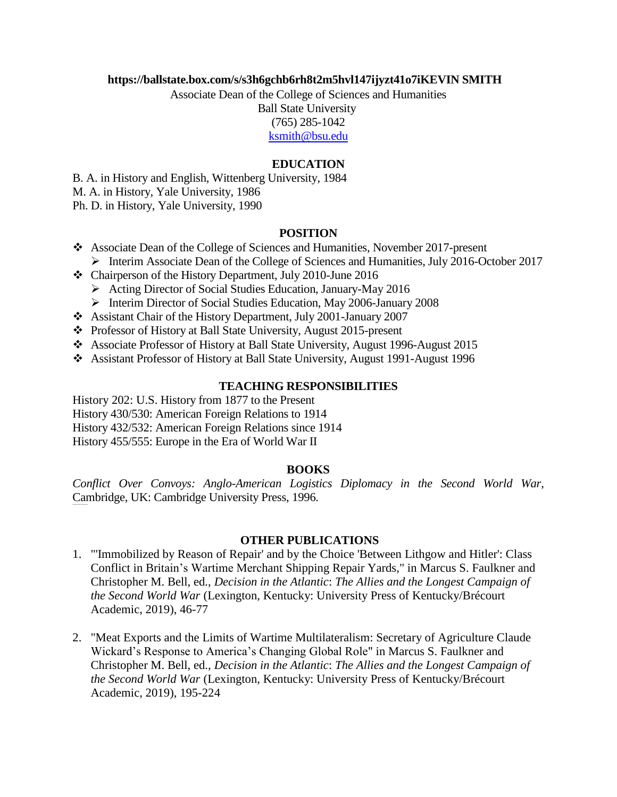### **https://ballstate.box.com/s/s3h6gchb6rh8t2m5hvl147ijyzt41o7iKEVIN SMITH**

Associate Dean of the College of Sciences and Humanities Ball State University (765) 285-1042 [ksmith@bsu.edu](mailto:ksmith@bsu.edu)

### **EDUCATION**

B. A. in History and English, Wittenberg University, 1984

M. A. in History, Yale University, 1986

Ph. D. in History, Yale University, 1990

## **POSITION**

- ❖ Associate Dean of the College of Sciences and Humanities, November 2017-present ➢ Interim Associate Dean of the College of Sciences and Humanities, July 2016-October 2017
- ❖ Chairperson of the History Department, July 2010-June 2016
	- ➢ Acting Director of Social Studies Education, January-May 2016
	- ➢ Interim Director of Social Studies Education, May 2006-January 2008
- ❖ Assistant Chair of the History Department, July 2001-January 2007
- ❖ Professor of History at Ball State University, August 2015-present
- ❖ Associate Professor of History at Ball State University, August 1996-August 2015
- ❖ Assistant Professor of History at Ball State University, August 1991-August 1996

#### **TEACHING RESPONSIBILITIES**

History 202: U.S. History from 1877 to the Present History 430/530: American Foreign Relations to 1914 History 432/532: American Foreign Relations since 1914 History 455/555: Europe in the Era of World War II

#### **BOOKS**

*Conflict Over Convoys: Anglo-American Logistics Diplomacy in the Second World War*, Cambridge, UK: Cambridge University Press, 1996.

#### **OTHER PUBLICATIONS**

- 1. "'Immobilized by Reason of Repair' and by the Choice 'Between Lithgow and Hitler': Class Conflict in Britain's Wartime Merchant Shipping Repair Yards," in Marcus S. Faulkner and Christopher M. Bell, ed., *Decision in the Atlantic*: *The Allies and the Longest Campaign of the Second World War* (Lexington, Kentucky: University Press of Kentucky/Brécourt Academic, 2019), 46-77
- 2. "Meat Exports and the Limits of Wartime Multilateralism: Secretary of Agriculture Claude Wickard's Response to America's Changing Global Role" in Marcus S. Faulkner and Christopher M. Bell, ed., *Decision in the Atlantic*: *The Allies and the Longest Campaign of the Second World War* (Lexington, Kentucky: University Press of Kentucky/Brécourt Academic, 2019), 195-224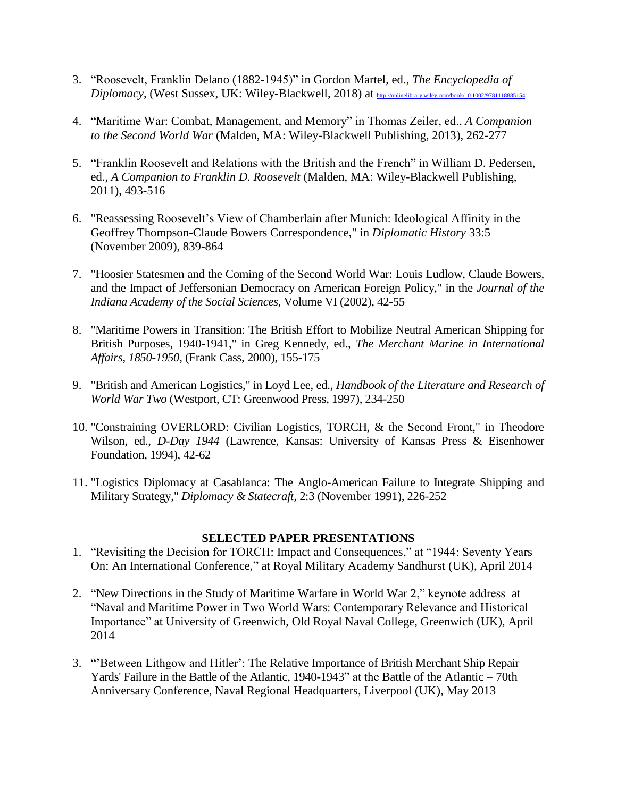- 3. "Roosevelt, Franklin Delano (1882-1945)" in Gordon Martel, ed., *The Encyclopedia of Diplomacy*, (West Sussex, UK: Wiley-Blackwell, 2018) at [http://onlinelibrary.wiley.com/book/10.1002/9781118885154](https://na01.safelinks.protection.outlook.com/?url=http%3A%2F%2Fonlinelibrary.wiley.com%2Fbook%2F10.1002%2F9781118885154&data=02%7C01%7Cksmith%40bsu.edu%7Cf80e89a5e9ef4b3aa75c08d5d5b5c375%7C6fff909f07dc40da9e30fd7549c0f494%7C0%7C0%7C636649899008796987&sdata=QW24dZzKFg67hMvkPCEQ%2Bt11aV%2FgDgO2V4G774f8E3Q%3D&reserved=0)
- 4. "Maritime War: Combat, Management, and Memory" in Thomas Zeiler, ed., *A Companion to the Second World War* (Malden, MA: Wiley-Blackwell Publishing, 2013), 262-277
- 5. "Franklin Roosevelt and Relations with the British and the French" in William D. Pedersen, ed., *A Companion to Franklin D. Roosevelt* (Malden, MA: Wiley-Blackwell Publishing, 2011), 493-516
- 6. "Reassessing Roosevelt's View of Chamberlain after Munich: Ideological Affinity in the Geoffrey Thompson-Claude Bowers Correspondence," in *Diplomatic History* 33:5 (November 2009), 839-864
- 7. "Hoosier Statesmen and the Coming of the Second World War: Louis Ludlow, Claude Bowers, and the Impact of Jeffersonian Democracy on American Foreign Policy," in the *Journal of the Indiana Academy of the Social Sciences*, Volume VI (2002), 42-55
- 8. "Maritime Powers in Transition: The British Effort to Mobilize Neutral American Shipping for British Purposes, 1940-1941," in Greg Kennedy, ed., *The Merchant Marine in International Affairs, 1850-1950*, (Frank Cass, 2000), 155-175
- 9. "British and American Logistics," in Loyd Lee, ed., *Handbook of the Literature and Research of World War Two* (Westport, CT: Greenwood Press, 1997), 234-250
- 10. "Constraining OVERLORD: Civilian Logistics, TORCH, & the Second Front," in Theodore Wilson, ed., *D-Day 1944* (Lawrence, Kansas: University of Kansas Press & Eisenhower Foundation, 1994), 42-62
- 11. "Logistics Diplomacy at Casablanca: The Anglo-American Failure to Integrate Shipping and Military Strategy," *Diplomacy & Statecraft,* 2:3 (November 1991), 226-252

## **SELECTED PAPER PRESENTATIONS**

- 1. "Revisiting the Decision for TORCH: Impact and Consequences," at "1944: Seventy Years On: An International Conference," at Royal Military Academy Sandhurst (UK), April 2014
- 2. "New Directions in the Study of Maritime Warfare in World War 2," keynote address at "Naval and Maritime Power in Two World Wars: Contemporary Relevance and Historical Importance" at University of Greenwich, Old Royal Naval College, Greenwich (UK), April 2014
- 3. "'Between Lithgow and Hitler': The Relative Importance of British Merchant Ship Repair Yards' Failure in the Battle of the Atlantic, 1940-1943" at the Battle of the Atlantic – 70th Anniversary Conference, Naval Regional Headquarters, Liverpool (UK), May 2013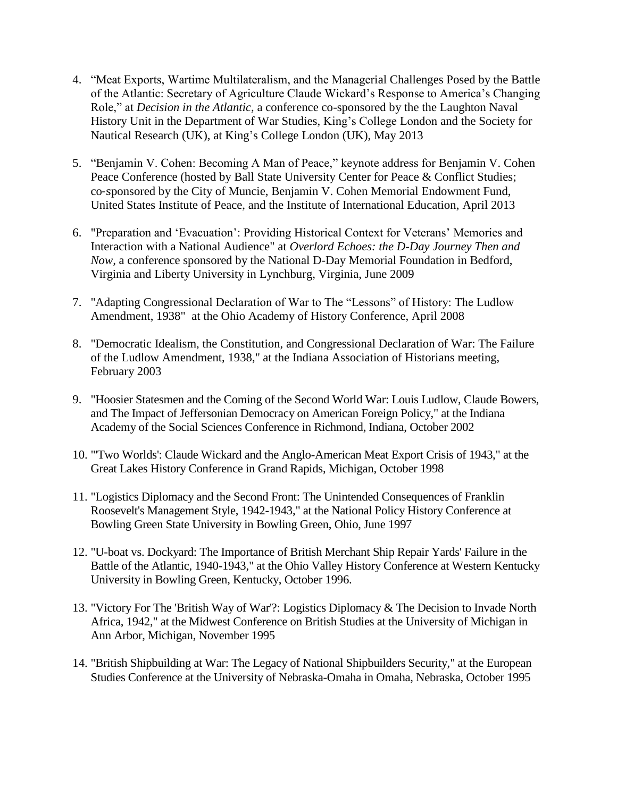- 4. "Meat Exports, Wartime Multilateralism, and the Managerial Challenges Posed by the Battle of the Atlantic: Secretary of Agriculture Claude Wickard's Response to America's Changing Role," at *Decision in the Atlantic,* a conference co-sponsored by the the Laughton Naval History Unit in the Department of War Studies, King's College London and the Society for Nautical Research (UK), at King's College London (UK), May 2013
- 5. "Benjamin V. Cohen: Becoming A Man of Peace," keynote address for Benjamin V. Cohen Peace Conference (hosted by Ball State University Center for Peace & Conflict Studies; co‐sponsored by the City of Muncie, Benjamin V. Cohen Memorial Endowment Fund, United States Institute of Peace, and the Institute of International Education, April 2013
- 6. "Preparation and 'Evacuation': Providing Historical Context for Veterans' Memories and Interaction with a National Audience" at *Overlord Echoes: the D-Day Journey Then and Now,* a conference sponsored by the National D-Day Memorial Foundation in Bedford, Virginia and Liberty University in Lynchburg, Virginia, June 2009
- 7. "Adapting Congressional Declaration of War to The "Lessons" of History: The Ludlow Amendment, 1938" at the Ohio Academy of History Conference, April 2008
- 8. "Democratic Idealism, the Constitution, and Congressional Declaration of War: The Failure of the Ludlow Amendment, 1938," at the Indiana Association of Historians meeting, February 2003
- 9. "Hoosier Statesmen and the Coming of the Second World War: Louis Ludlow, Claude Bowers, and The Impact of Jeffersonian Democracy on American Foreign Policy," at the Indiana Academy of the Social Sciences Conference in Richmond, Indiana, October 2002
- 10. "'Two Worlds': Claude Wickard and the Anglo-American Meat Export Crisis of 1943," at the Great Lakes History Conference in Grand Rapids, Michigan, October 1998
- 11. "Logistics Diplomacy and the Second Front: The Unintended Consequences of Franklin Roosevelt's Management Style, 1942-1943," at the National Policy History Conference at Bowling Green State University in Bowling Green, Ohio, June 1997
- 12. "U-boat vs. Dockyard: The Importance of British Merchant Ship Repair Yards' Failure in the Battle of the Atlantic, 1940-1943," at the Ohio Valley History Conference at Western Kentucky University in Bowling Green, Kentucky, October 1996.
- 13. "Victory For The 'British Way of War'?: Logistics Diplomacy & The Decision to Invade North Africa, 1942," at the Midwest Conference on British Studies at the University of Michigan in Ann Arbor, Michigan, November 1995
- 14. "British Shipbuilding at War: The Legacy of National Shipbuilders Security," at the European Studies Conference at the University of Nebraska-Omaha in Omaha, Nebraska, October 1995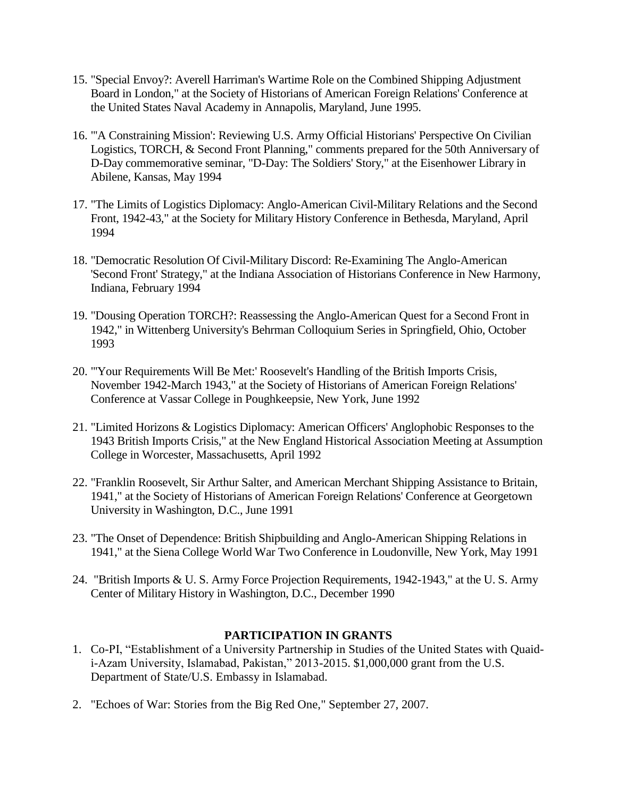- 15. "Special Envoy?: Averell Harriman's Wartime Role on the Combined Shipping Adjustment Board in London," at the Society of Historians of American Foreign Relations' Conference at the United States Naval Academy in Annapolis, Maryland, June 1995.
- 16. "'A Constraining Mission': Reviewing U.S. Army Official Historians' Perspective On Civilian Logistics, TORCH, & Second Front Planning," comments prepared for the 50th Anniversary of D-Day commemorative seminar, "D-Day: The Soldiers' Story," at the Eisenhower Library in Abilene, Kansas, May 1994
- 17. "The Limits of Logistics Diplomacy: Anglo-American Civil-Military Relations and the Second Front, 1942-43," at the Society for Military History Conference in Bethesda, Maryland, April 1994
- 18. "Democratic Resolution Of Civil-Military Discord: Re-Examining The Anglo-American 'Second Front' Strategy," at the Indiana Association of Historians Conference in New Harmony, Indiana, February 1994
- 19. "Dousing Operation TORCH?: Reassessing the Anglo-American Quest for a Second Front in 1942," in Wittenberg University's Behrman Colloquium Series in Springfield, Ohio, October 1993
- 20. "'Your Requirements Will Be Met:' Roosevelt's Handling of the British Imports Crisis, November 1942-March 1943," at the Society of Historians of American Foreign Relations' Conference at Vassar College in Poughkeepsie, New York, June 1992
- 21. "Limited Horizons & Logistics Diplomacy: American Officers' Anglophobic Responses to the 1943 British Imports Crisis," at the New England Historical Association Meeting at Assumption College in Worcester, Massachusetts, April 1992
- 22. "Franklin Roosevelt, Sir Arthur Salter, and American Merchant Shipping Assistance to Britain, 1941," at the Society of Historians of American Foreign Relations' Conference at Georgetown University in Washington, D.C., June 1991
- 23. "The Onset of Dependence: British Shipbuilding and Anglo-American Shipping Relations in 1941," at the Siena College World War Two Conference in Loudonville, New York, May 1991
- 24. "British Imports & U. S. Army Force Projection Requirements, 1942-1943," at the U. S. Army Center of Military History in Washington, D.C., December 1990

## **PARTICIPATION IN GRANTS**

- 1. Co-PI, "Establishment of a University Partnership in Studies of the United States with Quaidi-Azam University, Islamabad, Pakistan," 2013-2015. \$1,000,000 grant from the U.S. Department of State/U.S. Embassy in Islamabad.
- 2. "Echoes of War: Stories from the Big Red One," September 27, 2007.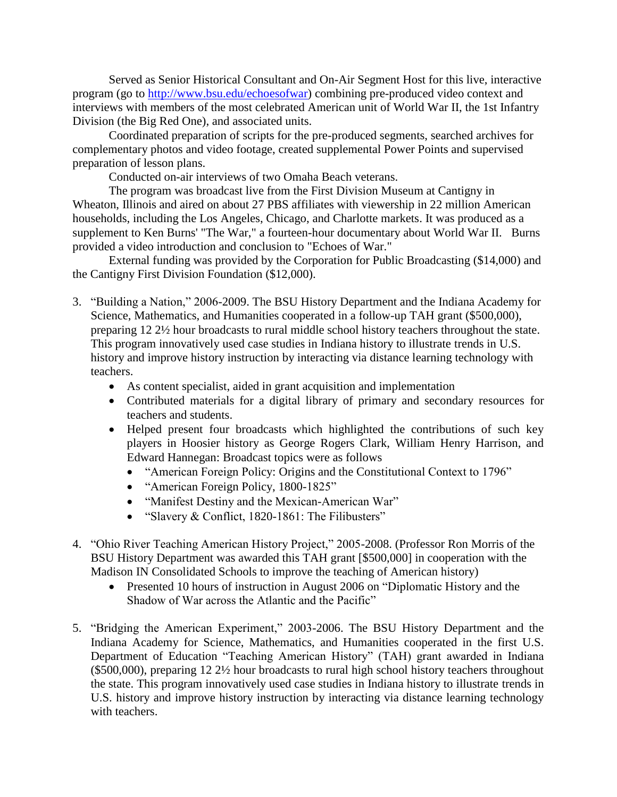Served as Senior Historical Consultant and On-Air Segment Host for this live, interactive program (go to [http://www.bsu.edu/echoesofwar\)](http://www.bsu.edu/echoesofwar) combining pre-produced video context and interviews with members of the most celebrated American unit of World War II, the 1st Infantry Division (the Big Red One), and associated units.

Coordinated preparation of scripts for the pre-produced segments, searched archives for complementary photos and video footage, created supplemental Power Points and supervised preparation of lesson plans.

Conducted on-air interviews of two Omaha Beach veterans.

The program was broadcast live from the First Division Museum at Cantigny in Wheaton, Illinois and aired on about 27 PBS affiliates with viewership in 22 million American households, including the Los Angeles, Chicago, and Charlotte markets. It was produced as a supplement to Ken Burns' "The War," a fourteen-hour documentary about World War II. Burns provided a video introduction and conclusion to "Echoes of War."

External funding was provided by the Corporation for Public Broadcasting (\$14,000) and the Cantigny First Division Foundation (\$12,000).

- 3. "Building a Nation," 2006-2009. The BSU History Department and the Indiana Academy for Science, Mathematics, and Humanities cooperated in a follow-up TAH grant (\$500,000), preparing 12 2½ hour broadcasts to rural middle school history teachers throughout the state. This program innovatively used case studies in Indiana history to illustrate trends in U.S. history and improve history instruction by interacting via distance learning technology with teachers.
	- As content specialist, aided in grant acquisition and implementation
	- Contributed materials for a digital library of primary and secondary resources for teachers and students.
	- Helped present four broadcasts which highlighted the contributions of such key players in Hoosier history as George Rogers Clark, William Henry Harrison, and Edward Hannegan: Broadcast topics were as follows
		- "American Foreign Policy: Origins and the Constitutional Context to 1796"
		- "American Foreign Policy, 1800-1825"
		- "Manifest Destiny and the Mexican-American War"
		- "Slavery & Conflict, 1820-1861: The Filibusters"
- 4. "Ohio River Teaching American History Project," 2005-2008. (Professor Ron Morris of the BSU History Department was awarded this TAH grant [\$500,000] in cooperation with the Madison IN Consolidated Schools to improve the teaching of American history)
	- Presented 10 hours of instruction in August 2006 on "Diplomatic History and the Shadow of War across the Atlantic and the Pacific"
- 5. "Bridging the American Experiment," 2003-2006. The BSU History Department and the Indiana Academy for Science, Mathematics, and Humanities cooperated in the first U.S. Department of Education "Teaching American History" (TAH) grant awarded in Indiana (\$500,000), preparing 12 2½ hour broadcasts to rural high school history teachers throughout the state. This program innovatively used case studies in Indiana history to illustrate trends in U.S. history and improve history instruction by interacting via distance learning technology with teachers.